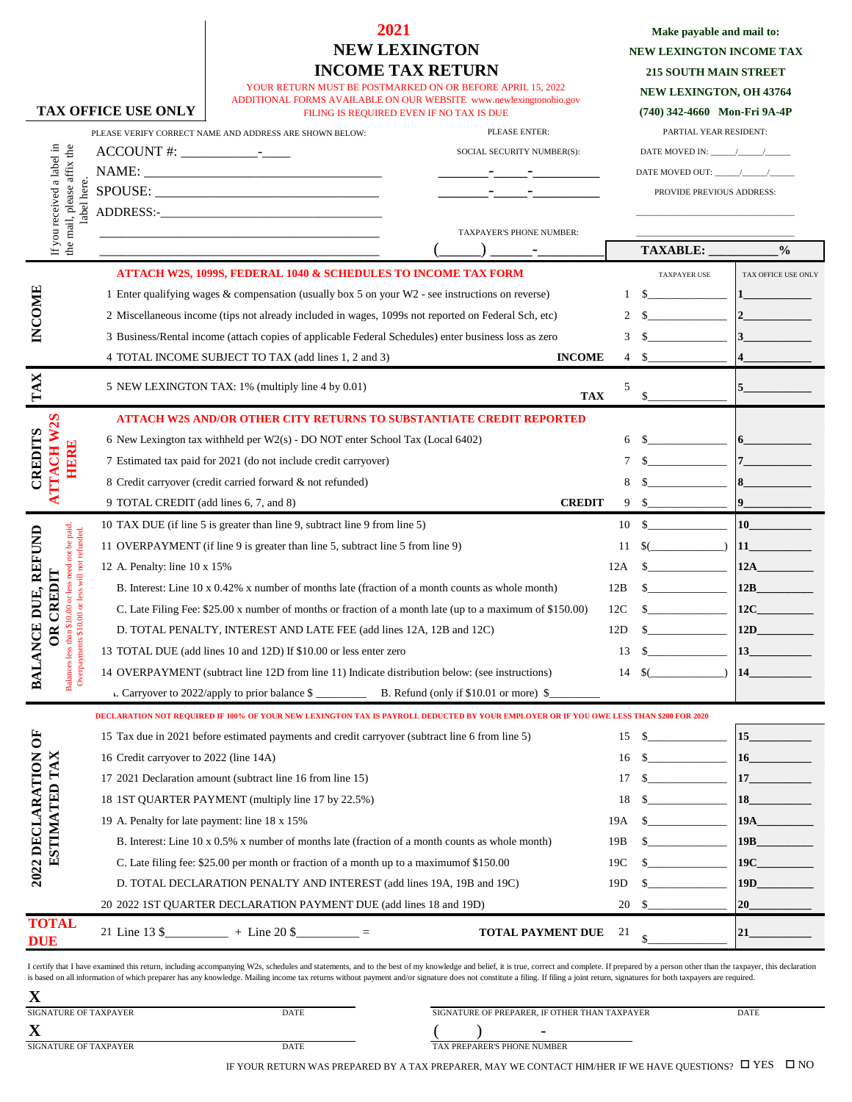## **2021 NEW LEXINGTON INCOME TAX RETURN**

| Make payable and mail to:       |  |  |  |  |  |
|---------------------------------|--|--|--|--|--|
| <b>NEW LEXINGTON INCOME TAX</b> |  |  |  |  |  |
| <b>215 SOUTH MAIN STREET</b>    |  |  |  |  |  |
| <b>NEW LEXINGTON, OH 43764</b>  |  |  |  |  |  |
| (740) 342-4660 Mon-Fri 9A-4P    |  |  |  |  |  |

| YOUR RETURN MUST BE POSTMARKED ON OR BEFORE APRIL 15, 2022         |
|--------------------------------------------------------------------|
| ADDITIONAL FORMS AVAILABLE ON OUR WEBSITE www.newlexingtonohio.gov |
| FILING IS REQUIRED EVEN IF NO TAX IS DUE                           |
|                                                                    |

**TAX OFFICE USE ONLY**

|                  |                                                          |              | PLEASE VERIFY CORRECT NAME AND ADDRESS ARE SHOWN BELOW:                                                                                | PLEASE ENTER:                                                                                                        |     | PARTIAL YEAR RESIDENT:                                                                                                                                                                                                                                                                                                                                                                                                 |                        |
|------------------|----------------------------------------------------------|--------------|----------------------------------------------------------------------------------------------------------------------------------------|----------------------------------------------------------------------------------------------------------------------|-----|------------------------------------------------------------------------------------------------------------------------------------------------------------------------------------------------------------------------------------------------------------------------------------------------------------------------------------------------------------------------------------------------------------------------|------------------------|
|                  |                                                          |              |                                                                                                                                        | SOCIAL SECURITY NUMBER(S):                                                                                           |     | DATE MOVED IN: $\frac{1}{\sqrt{1-\frac{1}{2}}}\left\vert \frac{1}{\sqrt{1-\frac{1}{2}}}\right\vert$                                                                                                                                                                                                                                                                                                                    |                        |
|                  |                                                          |              |                                                                                                                                        | <u> 2002 - Jan Jan Jawa Barat, prima prima prima prima prima prima prima prima prima prima prima prima prima pri</u> |     |                                                                                                                                                                                                                                                                                                                                                                                                                        |                        |
|                  |                                                          |              |                                                                                                                                        | the control of the control of                                                                                        |     | PROVIDE PREVIOUS ADDRESS:                                                                                                                                                                                                                                                                                                                                                                                              |                        |
|                  | If you received a label in<br>the mail, please affix the | label here.  |                                                                                                                                        |                                                                                                                      |     |                                                                                                                                                                                                                                                                                                                                                                                                                        |                        |
|                  |                                                          |              | <u> 1989 - Johann Barbara, martxa al III-lea (h. 1989).</u>                                                                            | TAXPAYER'S PHONE NUMBER:                                                                                             |     |                                                                                                                                                                                                                                                                                                                                                                                                                        |                        |
|                  |                                                          |              |                                                                                                                                        |                                                                                                                      |     | TAXABLE:                                                                                                                                                                                                                                                                                                                                                                                                               | $\frac{0}{0}$          |
|                  |                                                          |              | <b>ATTACH W2S, 1099S, FEDERAL 1040 &amp; SCHEDULES TO INCOME TAX FORM</b>                                                              |                                                                                                                      |     | TAXPAYER USE                                                                                                                                                                                                                                                                                                                                                                                                           | TAX OFFICE USE ONLY    |
| INCOME           |                                                          |              | 1 Enter qualifying wages & compensation (usually box 5 on your W2 - see instructions on reverse)                                       |                                                                                                                      | 1   | $\overline{\phantom{a}}$ . The contract of $\overline{\phantom{a}}$                                                                                                                                                                                                                                                                                                                                                    | $\mathbf{1}$           |
|                  |                                                          |              | 2 Miscellaneous income (tips not already included in wages, 1099s not reported on Federal Sch, etc)                                    |                                                                                                                      | 2   | $\begin{tabular}{ccccc} \multicolumn{2}{c }{\textbf{1} & \textbf{2} & \textbf{3} & \textbf{4} & \textbf{5} & \textbf{5} & \textbf{6} & \textbf{7} & \textbf{8} & \textbf{9} & \textbf{10} & \textbf{10} & \textbf{10} & \textbf{10} & \textbf{10} & \textbf{10} & \textbf{10} & \textbf{10} & \textbf{10} & \textbf{10} & \textbf{10} & \textbf{10} & \textbf{10} & \textbf{10} & \textbf{10} & \textbf{10} & \textbf$ |                        |
|                  |                                                          |              | 3 Business/Rental income (attach copies of applicable Federal Schedules) enter business loss as zero                                   |                                                                                                                      | 3   |                                                                                                                                                                                                                                                                                                                                                                                                                        | $ 3\rangle$            |
|                  |                                                          |              | 4 TOTAL INCOME SUBJECT TO TAX (add lines 1, 2 and 3)                                                                                   | <b>INCOME</b>                                                                                                        | 4   | -S                                                                                                                                                                                                                                                                                                                                                                                                                     | 14                     |
| TAX              |                                                          |              | 5 NEW LEXINGTON TAX: 1% (multiply line 4 by 0.01)                                                                                      |                                                                                                                      | 5   |                                                                                                                                                                                                                                                                                                                                                                                                                        |                        |
|                  |                                                          |              |                                                                                                                                        | <b>TAX</b>                                                                                                           |     | \$                                                                                                                                                                                                                                                                                                                                                                                                                     |                        |
|                  |                                                          |              | <b>ATTACH W2S AND/OR OTHER CITY RETURNS TO SUBSTANTIATE CREDIT REPORTED</b>                                                            |                                                                                                                      |     |                                                                                                                                                                                                                                                                                                                                                                                                                        |                        |
| <b>CREDITS</b>   | TACH W2S                                                 |              | 6 New Lexington tax withheld per $W2(s)$ - DO NOT enter School Tax (Local 6402)                                                        |                                                                                                                      | 6   |                                                                                                                                                                                                                                                                                                                                                                                                                        | $\vert 6 \vert$        |
|                  | <b>HERE</b>                                              |              | 7 Estimated tax paid for 2021 (do not include credit carryover)                                                                        |                                                                                                                      |     |                                                                                                                                                                                                                                                                                                                                                                                                                        |                        |
|                  |                                                          |              | 8 Credit carryover (credit carried forward & not refunded)                                                                             |                                                                                                                      |     |                                                                                                                                                                                                                                                                                                                                                                                                                        |                        |
|                  |                                                          |              | 9 TOTAL CREDIT (add lines 6, 7, and 8)                                                                                                 | <b>CREDIT</b>                                                                                                        | 9   |                                                                                                                                                                                                                                                                                                                                                                                                                        | $\vert$ 9              |
|                  |                                                          |              | 10 TAX DUE (if line 5 is greater than line 9, subtract line 9 from line 5)                                                             |                                                                                                                      | 10  |                                                                                                                                                                                                                                                                                                                                                                                                                        | 10 <sup>10</sup>       |
|                  | ತೆ<br><b>port</b>                                        | not refunded | 11 OVERPAYMENT (if line 9 is greater than line 5, subtract line 5 from line 9)                                                         |                                                                                                                      | 11  | $\left($                                                                                                                                                                                                                                                                                                                                                                                                               | $\mathbf{u}$           |
| REFUND           |                                                          |              | 12 A. Penalty: line 10 x 15%                                                                                                           |                                                                                                                      | 12A | $\frac{1}{2}$                                                                                                                                                                                                                                                                                                                                                                                                          | 12A                    |
|                  | CREDI                                                    | Ţ            | B. Interest: Line 10 x 0.42% x number of months late (fraction of a month counts as whole month)                                       |                                                                                                                      | 12B | <u> 1999 - Jan Barbara III, prima prima prima prima prima prima prima prima prima prima prima prima prima prima p</u>                                                                                                                                                                                                                                                                                                  | 12B                    |
| BALANCE DUE,     | payments \$10.00 or<br>$\mathbb{B}$                      |              | C. Late Filing Fee: \$25.00 x number of months or fraction of a month late (up to a maximum of \$150.00)                               |                                                                                                                      | 12C | $\overline{\phantom{a}}$ . The contract of $\overline{\phantom{a}}$                                                                                                                                                                                                                                                                                                                                                    | 12C                    |
|                  |                                                          |              | D. TOTAL PENALTY, INTEREST AND LATE FEE (add lines 12A, 12B and 12C)                                                                   |                                                                                                                      | 12D |                                                                                                                                                                                                                                                                                                                                                                                                                        | 12D                    |
|                  |                                                          |              | 13 TOTAL DUE (add lines 10 and 12D) If \$10.00 or less enter zero                                                                      |                                                                                                                      | 13  | s                                                                                                                                                                                                                                                                                                                                                                                                                      |                        |
|                  |                                                          |              | 14 OVERPAYMENT (subtract line 12D from line 11) Indicate distribution below: (see instructions)                                        |                                                                                                                      | 14  | $\sqrt{\frac{2}{\pi}}$ (                                                                                                                                                                                                                                                                                                                                                                                               | $\vert$ 14 and $\vert$ |
|                  |                                                          |              |                                                                                                                                        |                                                                                                                      |     |                                                                                                                                                                                                                                                                                                                                                                                                                        |                        |
|                  |                                                          |              | DECLARATION NOT REQUIRED IF 100% OF YOUR NEW LEXINGTON TAX IS PAYROLL DEDUCTED BY YOUR EMPLOYER OR IF YOU OWE LESS THAN \$200 FOR 2020 |                                                                                                                      |     |                                                                                                                                                                                                                                                                                                                                                                                                                        |                        |
| ≒                |                                                          |              | 15 Tax due in 2021 before estimated payments and credit carryover (subtract line 6 from line 5)                                        |                                                                                                                      |     | $15 \quad$ \$                                                                                                                                                                                                                                                                                                                                                                                                          | $\vert$ 15             |
|                  |                                                          |              | 16 Credit carryover to 2022 (line 14A)                                                                                                 |                                                                                                                      | 16  |                                                                                                                                                                                                                                                                                                                                                                                                                        | 16                     |
|                  |                                                          |              | 17 2021 Declaration amount (subtract line 16 from line 15)                                                                             |                                                                                                                      | 17  |                                                                                                                                                                                                                                                                                                                                                                                                                        | 17                     |
|                  |                                                          |              | 18 IST QUARTER PAYMENT (multiply line 17 by 22.5%)                                                                                     |                                                                                                                      | 18  |                                                                                                                                                                                                                                                                                                                                                                                                                        | 18                     |
| 2022 DECLARATION | ESTIMATED TAX                                            |              | 19 A. Penalty for late payment: line 18 x 15%                                                                                          |                                                                                                                      | 19A |                                                                                                                                                                                                                                                                                                                                                                                                                        | 19A                    |
|                  |                                                          |              | B. Interest: Line 10 x 0.5% x number of months late (fraction of a month counts as whole month)                                        |                                                                                                                      | 19B |                                                                                                                                                                                                                                                                                                                                                                                                                        | 19B                    |
|                  |                                                          |              | C. Late filing fee: \$25.00 per month or fraction of a month up to a maximum of \$150.00                                               |                                                                                                                      | 19C |                                                                                                                                                                                                                                                                                                                                                                                                                        | 19C                    |
|                  |                                                          |              | D. TOTAL DECLARATION PENALTY AND INTEREST (add lines 19A, 19B and 19C)                                                                 |                                                                                                                      | 19D |                                                                                                                                                                                                                                                                                                                                                                                                                        | 19 <sub>D</sub>        |
|                  |                                                          |              | 20 2022 1ST QUARTER DECLARATION PAYMENT DUE (add lines 18 and 19D)                                                                     |                                                                                                                      | 20  | S                                                                                                                                                                                                                                                                                                                                                                                                                      | 20                     |
| <b>TOTAL</b>     |                                                          |              | 21 Line 13 \$___________ + Line 20 \$________ =                                                                                        | <b>TOTAL PAYMENT DUE</b>                                                                                             | 21  |                                                                                                                                                                                                                                                                                                                                                                                                                        | 21                     |
| <b>DUE</b>       |                                                          |              |                                                                                                                                        |                                                                                                                      |     | \$                                                                                                                                                                                                                                                                                                                                                                                                                     |                        |

I certify that I have examined this return, including accompanying W2s, schedules and statements, and to the best of my knowledge and belief, it is true, correct and compelete. If prepared by a person other than the taxpay is based on all information of which preparer has any knowledge. Mailing income tax returns without payment and/or signature does not constitute a filing. If filing a joint return, signatures for both taxpayers are required.

| 43                    |      |                                               |      |
|-----------------------|------|-----------------------------------------------|------|
| SIGNATURE OF TAXPAYER | DATE | SIGNATURE OF PREPARER, IF OTHER THAN TAXPAYER | DATE |
| $\boldsymbol{\Delta}$ |      | $\overline{\phantom{0}}$                      |      |
| SIGNATURE OF TAXPAYER | DATE | TAX PREPARER'S PHONE NUMBER                   |      |